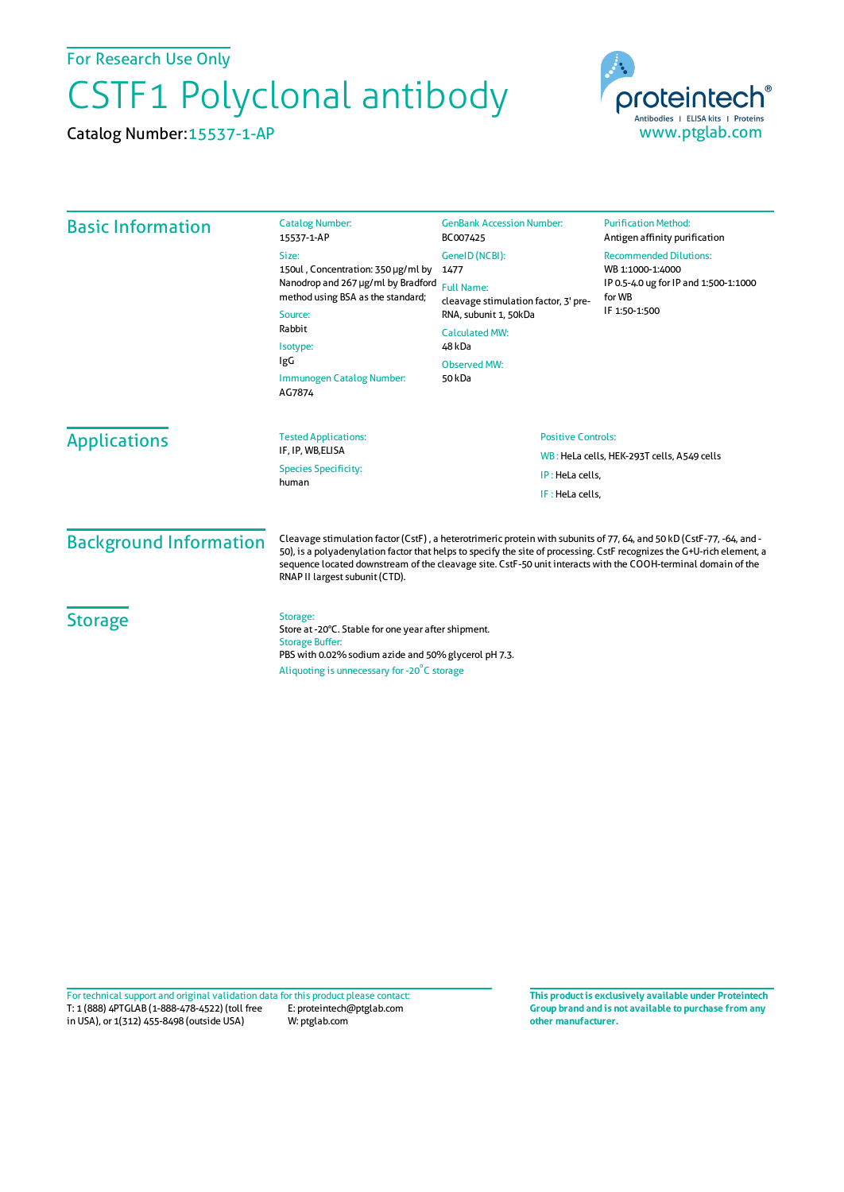For Research Use Only

## CSTF1 Polyclonal antibody

Catalog Number:15537-1-AP



| <b>Basic Information</b>      | <b>Catalog Number:</b><br>15537-1-AP                                                                                                                                                                                                                                                                                                                                                              | <b>GenBank Accession Number:</b><br>BC007425                                                                                                    | <b>Purification Method:</b><br>Antigen affinity purification                                                          |                     |                                                  |                                                               |  |
|-------------------------------|---------------------------------------------------------------------------------------------------------------------------------------------------------------------------------------------------------------------------------------------------------------------------------------------------------------------------------------------------------------------------------------------------|-------------------------------------------------------------------------------------------------------------------------------------------------|-----------------------------------------------------------------------------------------------------------------------|---------------------|--------------------------------------------------|---------------------------------------------------------------|--|
|                               | Size:<br>150ul, Concentration: 350 µg/ml by<br>Nanodrop and 267 µg/ml by Bradford<br>method using BSA as the standard;<br>Source:<br>Rabbit<br>Isotype:<br>IgG<br>Immunogen Catalog Number:<br>AG7874                                                                                                                                                                                             | GeneID (NCBI):<br>1477                                                                                                                          | <b>Recommended Dilutions:</b><br>WB 1:1000-1:4000<br>IP 0.5-4.0 ug for IP and 1:500-1:1000<br>for WB<br>IF 1:50-1:500 |                     |                                                  |                                                               |  |
|                               |                                                                                                                                                                                                                                                                                                                                                                                                   | <b>Full Name:</b><br>cleavage stimulation factor, 3' pre-<br>RNA, subunit 1, 50kDa<br><b>Calculated MW:</b><br>48 kDa<br>Observed MW:<br>50 kDa |                                                                                                                       |                     |                                                  |                                                               |  |
|                               |                                                                                                                                                                                                                                                                                                                                                                                                   |                                                                                                                                                 |                                                                                                                       | <b>Applications</b> | <b>Tested Applications:</b><br>IF, IP, WB, ELISA | <b>Positive Controls:</b>                                     |  |
|                               |                                                                                                                                                                                                                                                                                                                                                                                                   |                                                                                                                                                 |                                                                                                                       |                     | <b>Species Specificity:</b><br>human             | WB: HeLa cells, HEK-293T cells, A549 cells<br>IP: HeLa cells, |  |
|                               |                                                                                                                                                                                                                                                                                                                                                                                                   |                                                                                                                                                 |                                                                                                                       |                     |                                                  | IF: HeLa cells,                                               |  |
| <b>Background Information</b> | Cleavage stimulation factor (CstF), a heterotrimeric protein with subunits of 77, 64, and 50 kD (CstF-77, -64, and -<br>50), is a polyadenylation factor that helps to specify the site of processing. CstF recognizes the G+U-rich element, a<br>sequence located downstream of the cleavage site. CstF-50 unit interacts with the COOH-terminal domain of the<br>RNAP II largest subunit (CTD). |                                                                                                                                                 |                                                                                                                       |                     |                                                  |                                                               |  |
| <b>Storage</b>                | Storage:<br>Store at -20°C. Stable for one year after shipment.<br><b>Storage Buffer:</b><br>PBS with 0.02% sodium azide and 50% glycerol pH 7.3.<br>Aliquoting is unnecessary for -20°C storage                                                                                                                                                                                                  |                                                                                                                                                 |                                                                                                                       |                     |                                                  |                                                               |  |

T: 1 (888) 4PTGLAB (1-888-478-4522) (toll free in USA), or 1(312) 455-8498 (outside USA) E: proteintech@ptglab.com W: ptglab.com Fortechnical support and original validation data forthis product please contact: **This productis exclusively available under Proteintech**

**Group brand and is not available to purchase from any other manufacturer.**